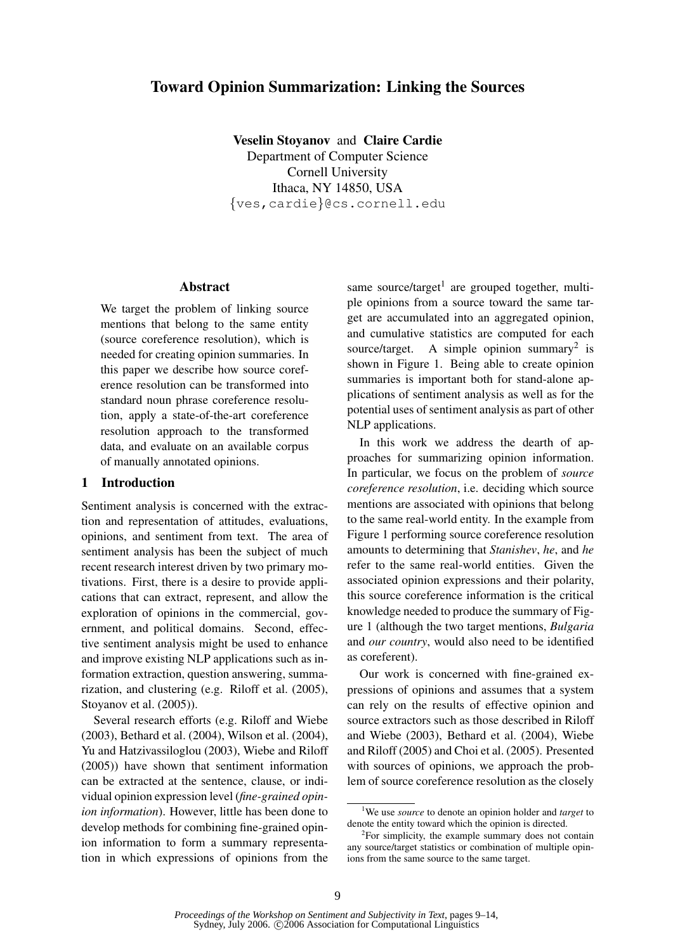# Toward Opinion Summarization: Linking the Sources

Veselin Stoyanov and Claire Cardie Department of Computer Science Cornell University Ithaca, NY 14850, USA {ves,cardie}@cs.cornell.edu

### Abstract

We target the problem of linking source mentions that belong to the same entity (source coreference resolution), which is needed for creating opinion summaries. In this paper we describe how source coreference resolution can be transformed into standard noun phrase coreference resolution, apply a state-of-the-art coreference resolution approach to the transformed data, and evaluate on an available corpus of manually annotated opinions.

### 1 Introduction

Sentiment analysis is concerned with the extraction and representation of attitudes, evaluations, opinions, and sentiment from text. The area of sentiment analysis has been the subject of much recent research interest driven by two primary motivations. First, there is a desire to provide applications that can extract, represent, and allow the exploration of opinions in the commercial, government, and political domains. Second, effective sentiment analysis might be used to enhance and improve existing NLP applications such as information extraction, question answering, summarization, and clustering (e.g. Riloff et al. (2005), Stoyanov et al. (2005)).

Several research efforts (e.g. Riloff and Wiebe (2003), Bethard et al. (2004), Wilson et al. (2004), Yu and Hatzivassiloglou (2003), Wiebe and Riloff (2005)) have shown that sentiment information can be extracted at the sentence, clause, or individual opinion expression level (*fine-grained opinion information*). However, little has been done to develop methods for combining fine-grained opinion information to form a summary representation in which expressions of opinions from the

same source/target<sup>1</sup> are grouped together, multiple opinions from a source toward the same target are accumulated into an aggregated opinion, and cumulative statistics are computed for each source/target. A simple opinion summary<sup>2</sup> is shown in Figure 1. Being able to create opinion summaries is important both for stand-alone applications of sentiment analysis as well as for the potential uses of sentiment analysis as part of other NLP applications.

In this work we address the dearth of approaches for summarizing opinion information. In particular, we focus on the problem of *source coreference resolution*, i.e. deciding which source mentions are associated with opinions that belong to the same real-world entity. In the example from Figure 1 performing source coreference resolution amounts to determining that *Stanishev*, *he*, and *he* refer to the same real-world entities. Given the associated opinion expressions and their polarity, this source coreference information is the critical knowledge needed to produce the summary of Figure 1 (although the two target mentions, *Bulgaria* and *our country*, would also need to be identified as coreferent).

Our work is concerned with fine-grained expressions of opinions and assumes that a system can rely on the results of effective opinion and source extractors such as those described in Riloff and Wiebe (2003), Bethard et al. (2004), Wiebe and Riloff (2005) and Choi et al. (2005). Presented with sources of opinions, we approach the problem of source coreference resolution as the closely

<sup>1</sup>We use *source* to denote an opinion holder and *target* to denote the entity toward which the opinion is directed.

<sup>&</sup>lt;sup>2</sup>For simplicity, the example summary does not contain any source/target statistics or combination of multiple opinions from the same source to the same target.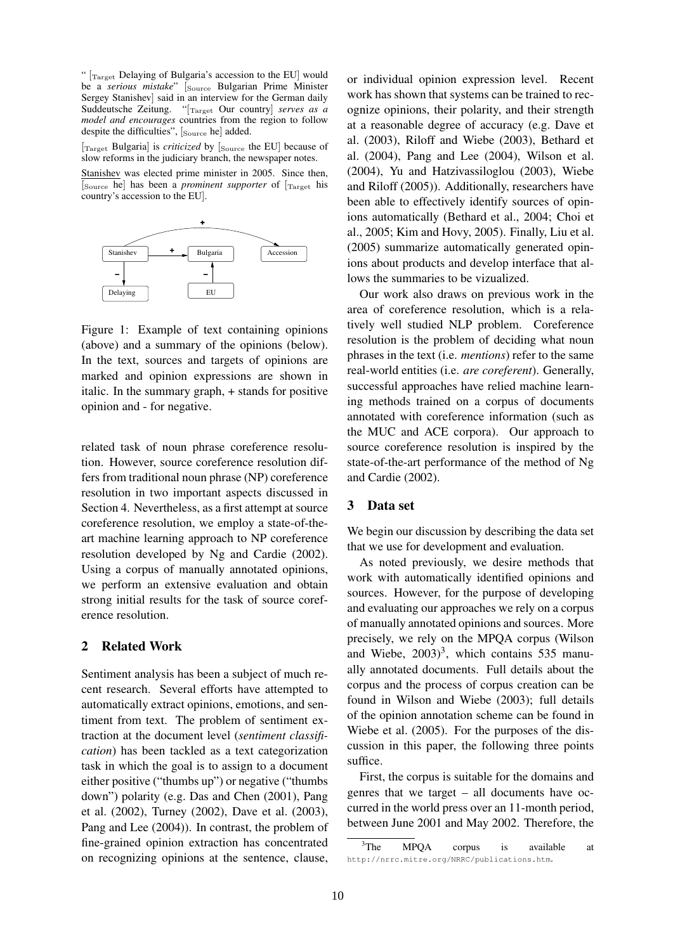"  $\left[\text{Target} \text{Delaying of Bulgaria's accession to the EU}\right]$  would be a *serious mistake*" [Source Bulgarian Prime Minister Sergey Stanishev] said in an interview for the German daily Suddeutsche Zeitung. "[Target Our country] *serves as a model and encourages* countries from the region to follow despite the difficulties", [Source he] added.

[Target Bulgaria] is *criticized* by [Source the EU] because of slow reforms in the judiciary branch, the newspaper notes.

Stanishev was elected prime minister in 2005. Since then, [Source he] has been a *prominent supporter* of [Target his country's accession to the EU].



Figure 1: Example of text containing opinions (above) and a summary of the opinions (below). In the text, sources and targets of opinions are marked and opinion expressions are shown in italic. In the summary graph, + stands for positive opinion and - for negative.

related task of noun phrase coreference resolution. However, source coreference resolution differs from traditional noun phrase (NP) coreference resolution in two important aspects discussed in Section 4. Nevertheless, as a first attempt at source coreference resolution, we employ a state-of-theart machine learning approach to NP coreference resolution developed by Ng and Cardie (2002). Using a corpus of manually annotated opinions, we perform an extensive evaluation and obtain strong initial results for the task of source coreference resolution.

## 2 Related Work

Sentiment analysis has been a subject of much recent research. Several efforts have attempted to automatically extract opinions, emotions, and sentiment from text. The problem of sentiment extraction at the document level (*sentiment classification*) has been tackled as a text categorization task in which the goal is to assign to a document either positive ("thumbs up") or negative ("thumbs down") polarity (e.g. Das and Chen (2001), Pang et al. (2002), Turney (2002), Dave et al. (2003), Pang and Lee (2004)). In contrast, the problem of fine-grained opinion extraction has concentrated on recognizing opinions at the sentence, clause,

or individual opinion expression level. Recent work has shown that systems can be trained to recognize opinions, their polarity, and their strength at a reasonable degree of accuracy (e.g. Dave et al. (2003), Riloff and Wiebe (2003), Bethard et al. (2004), Pang and Lee (2004), Wilson et al. (2004), Yu and Hatzivassiloglou (2003), Wiebe and Riloff (2005)). Additionally, researchers have been able to effectively identify sources of opinions automatically (Bethard et al., 2004; Choi et al., 2005; Kim and Hovy, 2005). Finally, Liu et al. (2005) summarize automatically generated opinions about products and develop interface that allows the summaries to be vizualized.

Our work also draws on previous work in the area of coreference resolution, which is a relatively well studied NLP problem. Coreference resolution is the problem of deciding what noun phrases in the text (i.e. *mentions*) refer to the same real-world entities (i.e. *are coreferent*). Generally, successful approaches have relied machine learning methods trained on a corpus of documents annotated with coreference information (such as the MUC and ACE corpora). Our approach to source coreference resolution is inspired by the state-of-the-art performance of the method of Ng and Cardie (2002).

## 3 Data set

We begin our discussion by describing the data set that we use for development and evaluation.

As noted previously, we desire methods that work with automatically identified opinions and sources. However, for the purpose of developing and evaluating our approaches we rely on a corpus of manually annotated opinions and sources. More precisely, we rely on the MPQA corpus (Wilson and Wiebe,  $2003)^3$ , which contains 535 manually annotated documents. Full details about the corpus and the process of corpus creation can be found in Wilson and Wiebe (2003); full details of the opinion annotation scheme can be found in Wiebe et al. (2005). For the purposes of the discussion in this paper, the following three points suffice.

First, the corpus is suitable for the domains and genres that we target – all documents have occurred in the world press over an 11-month period, between June 2001 and May 2002. Therefore, the

<sup>&</sup>lt;sup>3</sup>The MPOA corpus is available at http://nrrc.mitre.org/NRRC/publications.htm.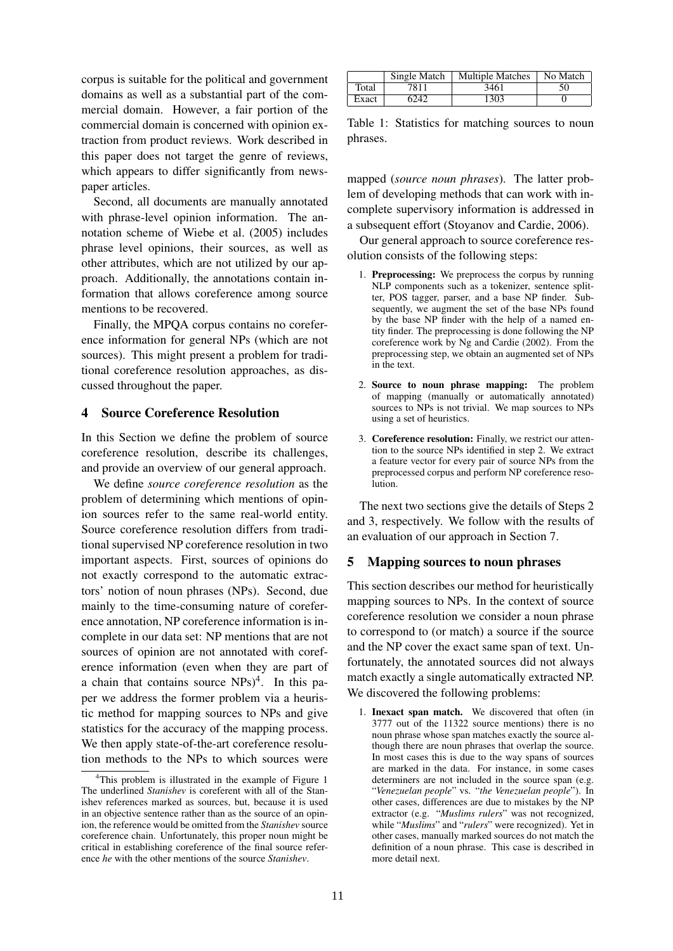corpus is suitable for the political and government domains as well as a substantial part of the commercial domain. However, a fair portion of the commercial domain is concerned with opinion extraction from product reviews. Work described in this paper does not target the genre of reviews, which appears to differ significantly from newspaper articles.

Second, all documents are manually annotated with phrase-level opinion information. The annotation scheme of Wiebe et al. (2005) includes phrase level opinions, their sources, as well as other attributes, which are not utilized by our approach. Additionally, the annotations contain information that allows coreference among source mentions to be recovered.

Finally, the MPQA corpus contains no coreference information for general NPs (which are not sources). This might present a problem for traditional coreference resolution approaches, as discussed throughout the paper.

## 4 Source Coreference Resolution

In this Section we define the problem of source coreference resolution, describe its challenges, and provide an overview of our general approach.

We define *source coreference resolution* as the problem of determining which mentions of opinion sources refer to the same real-world entity. Source coreference resolution differs from traditional supervised NP coreference resolution in two important aspects. First, sources of opinions do not exactly correspond to the automatic extractors' notion of noun phrases (NPs). Second, due mainly to the time-consuming nature of coreference annotation, NP coreference information is incomplete in our data set: NP mentions that are not sources of opinion are not annotated with coreference information (even when they are part of a chain that contains source  $NPs)^4$ . In this paper we address the former problem via a heuristic method for mapping sources to NPs and give statistics for the accuracy of the mapping process. We then apply state-of-the-art coreference resolution methods to the NPs to which sources were

|       | Single Match | <b>Multiple Matches</b> | No Match |
|-------|--------------|-------------------------|----------|
| Total | 7811         | 3461                    | 50       |
| Exact | 6242         | 1303                    |          |

Table 1: Statistics for matching sources to noun phrases.

mapped (*source noun phrases*). The latter problem of developing methods that can work with incomplete supervisory information is addressed in a subsequent effort (Stoyanov and Cardie, 2006).

Our general approach to source coreference resolution consists of the following steps:

- 1. Preprocessing: We preprocess the corpus by running NLP components such as a tokenizer, sentence splitter, POS tagger, parser, and a base NP finder. Subsequently, we augment the set of the base NPs found by the base NP finder with the help of a named entity finder. The preprocessing is done following the NP coreference work by Ng and Cardie (2002). From the preprocessing step, we obtain an augmented set of NPs in the text.
- 2. Source to noun phrase mapping: The problem of mapping (manually or automatically annotated) sources to NPs is not trivial. We map sources to NPs using a set of heuristics.
- 3. Coreference resolution: Finally, we restrict our attention to the source NPs identified in step 2. We extract a feature vector for every pair of source NPs from the preprocessed corpus and perform NP coreference resolution.

The next two sections give the details of Steps 2 and 3, respectively. We follow with the results of an evaluation of our approach in Section 7.

## 5 Mapping sources to noun phrases

This section describes our method for heuristically mapping sources to NPs. In the context of source coreference resolution we consider a noun phrase to correspond to (or match) a source if the source and the NP cover the exact same span of text. Unfortunately, the annotated sources did not always match exactly a single automatically extracted NP. We discovered the following problems:

1. Inexact span match. We discovered that often (in 3777 out of the 11322 source mentions) there is no noun phrase whose span matches exactly the source although there are noun phrases that overlap the source. In most cases this is due to the way spans of sources are marked in the data. For instance, in some cases determiners are not included in the source span (e.g. "*Venezuelan people*" vs. "*the Venezuelan people*"). In other cases, differences are due to mistakes by the NP extractor (e.g. "*Muslims rulers*" was not recognized, while "*Muslims*" and "*rulers*" were recognized). Yet in other cases, manually marked sources do not match the definition of a noun phrase. This case is described in more detail next.

<sup>&</sup>lt;sup>4</sup>This problem is illustrated in the example of Figure 1 The underlined *Stanishev* is coreferent with all of the Stanishev references marked as sources, but, because it is used in an objective sentence rather than as the source of an opinion, the reference would be omitted from the *Stanishev* source coreference chain. Unfortunately, this proper noun might be critical in establishing coreference of the final source reference *he* with the other mentions of the source *Stanishev*.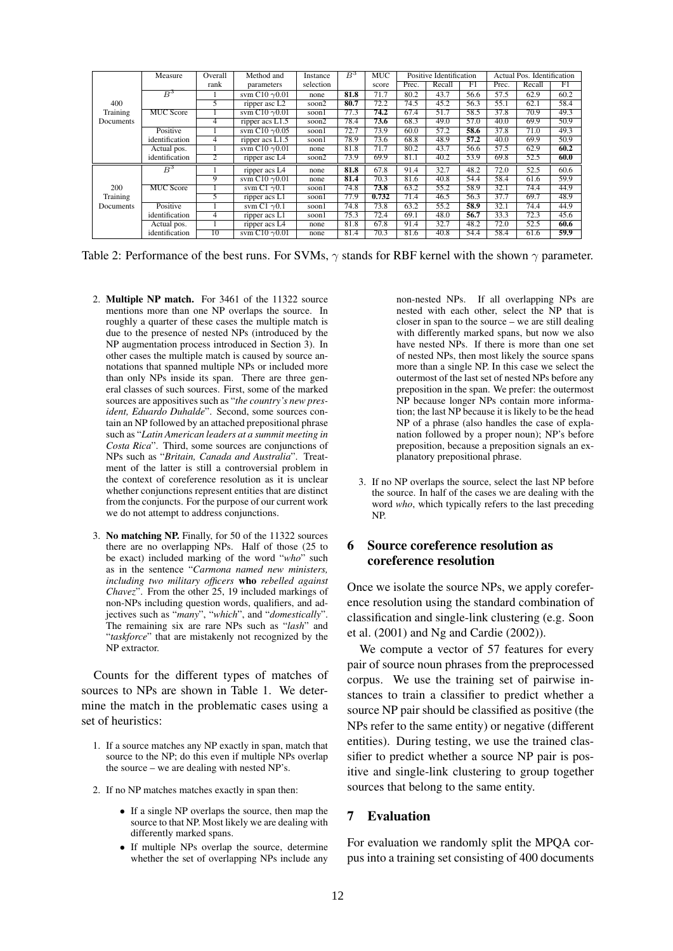|                       | Measure          | Overall | Method and                                   | Instance  | $B^3$ | <b>MUC</b> | Positive Identification |                   |      | Actual Pos. Identification |        |      |
|-----------------------|------------------|---------|----------------------------------------------|-----------|-------|------------|-------------------------|-------------------|------|----------------------------|--------|------|
|                       |                  | rank    | parameters                                   | selection |       | score      | Prec.                   | Recall            | F1   | Prec.                      | Recall | F1   |
|                       | $B^3$            |         | svm C10 $\gamma$ 0.01                        | none      | 81.8  | 71.7       | 80.2                    | 43.7              | 56.6 | 57.5                       | 62.9   | 60.2 |
| 400                   |                  | 5       | ripper asc L <sub>2</sub>                    | soon2     | 80.7  | 72.2       | 74.5                    | 45.2              | 56.3 | 55.1                       | 62.1   | 58.4 |
| Training<br>Documents | <b>MUC</b> Score |         | svm C <sub>10</sub> $\gamma$ <sub>0.01</sub> | soon1     | 77.3  | 74.2       | 67.4                    | 51.7              | 58.5 | 37.8                       | 70.9   | 49.3 |
|                       |                  | 4       | ripper $acs$ $L1.5$                          | soon2     | 78.4  | 73.6       | 68.3                    | 49.0              | 57.0 | 40.0                       | 69.9   | 50.9 |
|                       | Positive         |         | sym C <sub>10</sub> $\gamma$ <sub>0.05</sub> | soonl     | 72.7  | 73.9       | 60.0                    | 57.2              | 58.6 | 37.8                       | 71.0   | 49.3 |
|                       | identification   | 4       | ripper acs L1.5                              | soonl     | 78.9  | 73.6       | 68.8                    | 48.9              | 57.2 | 40.0                       | 69.9   | 50.9 |
|                       | Actual pos.      |         | sym C <sub>10</sub> $\gamma$ <sub>0.01</sub> | none      | 81.8  | 71.7       | 80.2                    | 43.7              | 56.6 | 57.5                       | 62.9   | 60.2 |
|                       | identification   | 2       | ripper asc L4                                | soon2     | 73.9  | 69.9       | 81.1                    | 40.2              | 53.9 | 69.8                       | 52.5   | 60.0 |
| 200                   | $B^3$            |         | ripper acs L4                                | none      | 81.8  | 67.8       | 91.4                    | 32.7              | 48.2 | 72.0                       | 52.5   | 60.6 |
|                       |                  | 9       | sym C <sub>10</sub> $\gamma$ <sub>0.01</sub> | none      | 81.4  | 70.3       | 81.6                    | 40.8              | 54.4 | 58.4                       | 61.6   | 59.9 |
|                       | <b>MUC Score</b> |         | svm C1 $\gamma$ 0.1                          | soonl     | 74.8  | 73.8       | 63.2                    | 55.2              | 58.9 | 32.1                       | 74.4   | 44.9 |
| Training              |                  | 5       | ripper $\overline{acs L1}$                   | soon1     | 77.9  | 0.732      | 71.4                    | 46.5              | 56.3 | 37.7                       | 69.7   | 48.9 |
| Documents             | Positive         |         | svm C1 $\gamma$ 0.1                          | soon1     | 74.8  | 73.8       | 63.2                    | $\overline{55.2}$ | 58.9 | 32.1                       | 74.4   | 44.9 |
|                       | identification   | 4       | ripper acs L1                                | soonl     | 75.3  | 72.4       | 69.1                    | 48.0              | 56.7 | 33.3                       | 72.3   | 45.6 |
|                       | Actual pos.      |         | ripper acs L4                                | none      | 81.8  | 67.8       | 91.4                    | 32.7              | 48.2 | 72.0                       | 52.5   | 60.6 |
|                       | identification   | 10      | svm C <sub>10</sub> $\gamma$ <sub>0.01</sub> | none      | 81.4  | 70.3       | 81.6                    | 40.8              | 54.4 | 58.4                       | 61.6   | 59.9 |

Table 2: Performance of the best runs. For SVMs,  $\gamma$  stands for RBF kernel with the shown  $\gamma$  parameter.

- 2. Multiple NP match. For 3461 of the 11322 source mentions more than one NP overlaps the source. In roughly a quarter of these cases the multiple match is due to the presence of nested NPs (introduced by the NP augmentation process introduced in Section 3). In other cases the multiple match is caused by source annotations that spanned multiple NPs or included more than only NPs inside its span. There are three general classes of such sources. First, some of the marked sources are appositives such as "*the country's new president, Eduardo Duhalde*". Second, some sources contain an NP followed by an attached prepositional phrase such as "*Latin American leaders at a summit meeting in Costa Rica*". Third, some sources are conjunctions of NPs such as "*Britain, Canada and Australia*". Treatment of the latter is still a controversial problem in the context of coreference resolution as it is unclear whether conjunctions represent entities that are distinct from the conjuncts. For the purpose of our current work we do not attempt to address conjunctions.
- 3. No matching NP. Finally, for 50 of the 11322 sources there are no overlapping NPs. Half of those (25 to be exact) included marking of the word "*who*" such as in the sentence "*Carmona named new ministers, including two military officers* who *rebelled against Chavez*". From the other 25, 19 included markings of non-NPs including question words, qualifiers, and adjectives such as "*many*", "*which*", and "*domestically*". The remaining six are rare NPs such as "*lash*" and "*taskforce*" that are mistakenly not recognized by the NP extractor.

Counts for the different types of matches of sources to NPs are shown in Table 1. We determine the match in the problematic cases using a set of heuristics:

- 1. If a source matches any NP exactly in span, match that source to the NP; do this even if multiple NPs overlap the source – we are dealing with nested NP's.
- 2. If no NP matches matches exactly in span then:
	- If a single NP overlaps the source, then map the source to that NP. Most likely we are dealing with differently marked spans.
	- If multiple NPs overlap the source, determine whether the set of overlapping NPs include any

non-nested NPs. If all overlapping NPs are nested with each other, select the NP that is closer in span to the source – we are still dealing with differently marked spans, but now we also have nested NPs. If there is more than one set of nested NPs, then most likely the source spans more than a single NP. In this case we select the outermost of the last set of nested NPs before any preposition in the span. We prefer: the outermost NP because longer NPs contain more information; the last NP because it is likely to be the head NP of a phrase (also handles the case of explanation followed by a proper noun); NP's before preposition, because a preposition signals an explanatory prepositional phrase.

3. If no NP overlaps the source, select the last NP before the source. In half of the cases we are dealing with the word *who*, which typically refers to the last preceding NP.

# 6 Source coreference resolution as coreference resolution

Once we isolate the source NPs, we apply coreference resolution using the standard combination of classification and single-link clustering (e.g. Soon et al. (2001) and Ng and Cardie (2002)).

We compute a vector of 57 features for every pair of source noun phrases from the preprocessed corpus. We use the training set of pairwise instances to train a classifier to predict whether a source NP pair should be classified as positive (the NPs refer to the same entity) or negative (different entities). During testing, we use the trained classifier to predict whether a source NP pair is positive and single-link clustering to group together sources that belong to the same entity.

## 7 Evaluation

For evaluation we randomly split the MPQA corpus into a training set consisting of 400 documents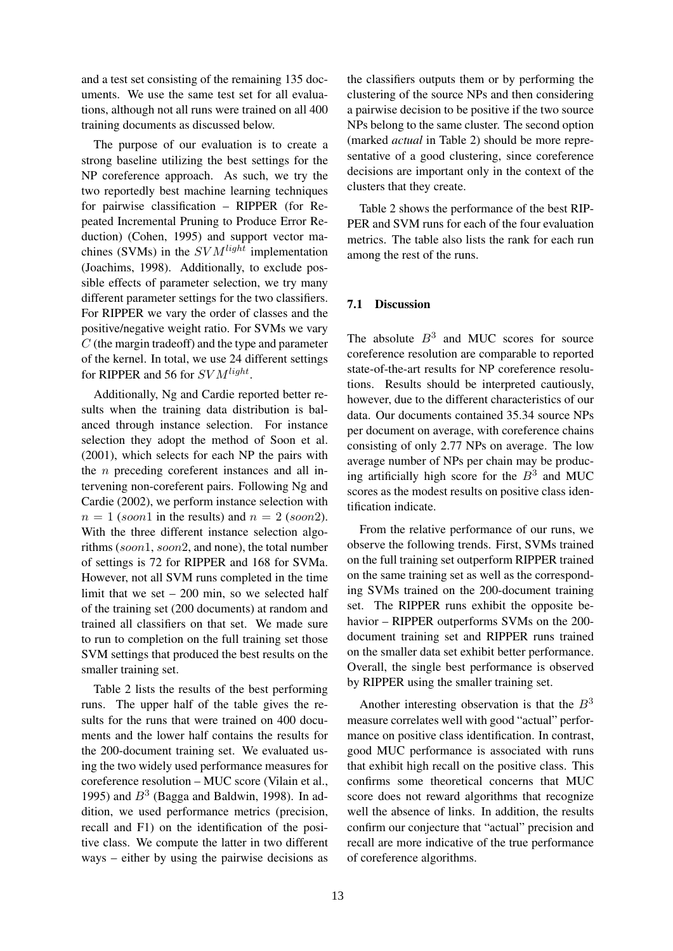and a test set consisting of the remaining 135 documents. We use the same test set for all evaluations, although not all runs were trained on all 400 training documents as discussed below.

The purpose of our evaluation is to create a strong baseline utilizing the best settings for the NP coreference approach. As such, we try the two reportedly best machine learning techniques for pairwise classification – RIPPER (for Repeated Incremental Pruning to Produce Error Reduction) (Cohen, 1995) and support vector machines (SVMs) in the  $SVM^{light}$  implementation (Joachims, 1998). Additionally, to exclude possible effects of parameter selection, we try many different parameter settings for the two classifiers. For RIPPER we vary the order of classes and the positive/negative weight ratio. For SVMs we vary  $C$  (the margin tradeoff) and the type and parameter of the kernel. In total, we use 24 different settings for RIPPER and 56 for  $SVM<sup>light</sup>$ .

Additionally, Ng and Cardie reported better results when the training data distribution is balanced through instance selection. For instance selection they adopt the method of Soon et al. (2001), which selects for each NP the pairs with the n preceding coreferent instances and all intervening non-coreferent pairs. Following Ng and Cardie (2002), we perform instance selection with  $n = 1$  (soon1 in the results) and  $n = 2$  (soon2). With the three different instance selection algorithms (soon1, soon2, and none), the total number of settings is 72 for RIPPER and 168 for SVMa. However, not all SVM runs completed in the time limit that we set  $-200$  min, so we selected half of the training set (200 documents) at random and trained all classifiers on that set. We made sure to run to completion on the full training set those SVM settings that produced the best results on the smaller training set.

Table 2 lists the results of the best performing runs. The upper half of the table gives the results for the runs that were trained on 400 documents and the lower half contains the results for the 200-document training set. We evaluated using the two widely used performance measures for coreference resolution – MUC score (Vilain et al., 1995) and  $B^3$  (Bagga and Baldwin, 1998). In addition, we used performance metrics (precision, recall and F1) on the identification of the positive class. We compute the latter in two different ways – either by using the pairwise decisions as the classifiers outputs them or by performing the clustering of the source NPs and then considering a pairwise decision to be positive if the two source NPs belong to the same cluster. The second option (marked *actual* in Table 2) should be more representative of a good clustering, since coreference decisions are important only in the context of the clusters that they create.

Table 2 shows the performance of the best RIP-PER and SVM runs for each of the four evaluation metrics. The table also lists the rank for each run among the rest of the runs.

## 7.1 Discussion

The absolute  $B<sup>3</sup>$  and MUC scores for source coreference resolution are comparable to reported state-of-the-art results for NP coreference resolutions. Results should be interpreted cautiously, however, due to the different characteristics of our data. Our documents contained 35.34 source NPs per document on average, with coreference chains consisting of only 2.77 NPs on average. The low average number of NPs per chain may be producing artificially high score for the  $B<sup>3</sup>$  and MUC scores as the modest results on positive class identification indicate.

From the relative performance of our runs, we observe the following trends. First, SVMs trained on the full training set outperform RIPPER trained on the same training set as well as the corresponding SVMs trained on the 200-document training set. The RIPPER runs exhibit the opposite behavior – RIPPER outperforms SVMs on the 200 document training set and RIPPER runs trained on the smaller data set exhibit better performance. Overall, the single best performance is observed by RIPPER using the smaller training set.

Another interesting observation is that the  $B<sup>3</sup>$ measure correlates well with good "actual" performance on positive class identification. In contrast, good MUC performance is associated with runs that exhibit high recall on the positive class. This confirms some theoretical concerns that MUC score does not reward algorithms that recognize well the absence of links. In addition, the results confirm our conjecture that "actual" precision and recall are more indicative of the true performance of coreference algorithms.